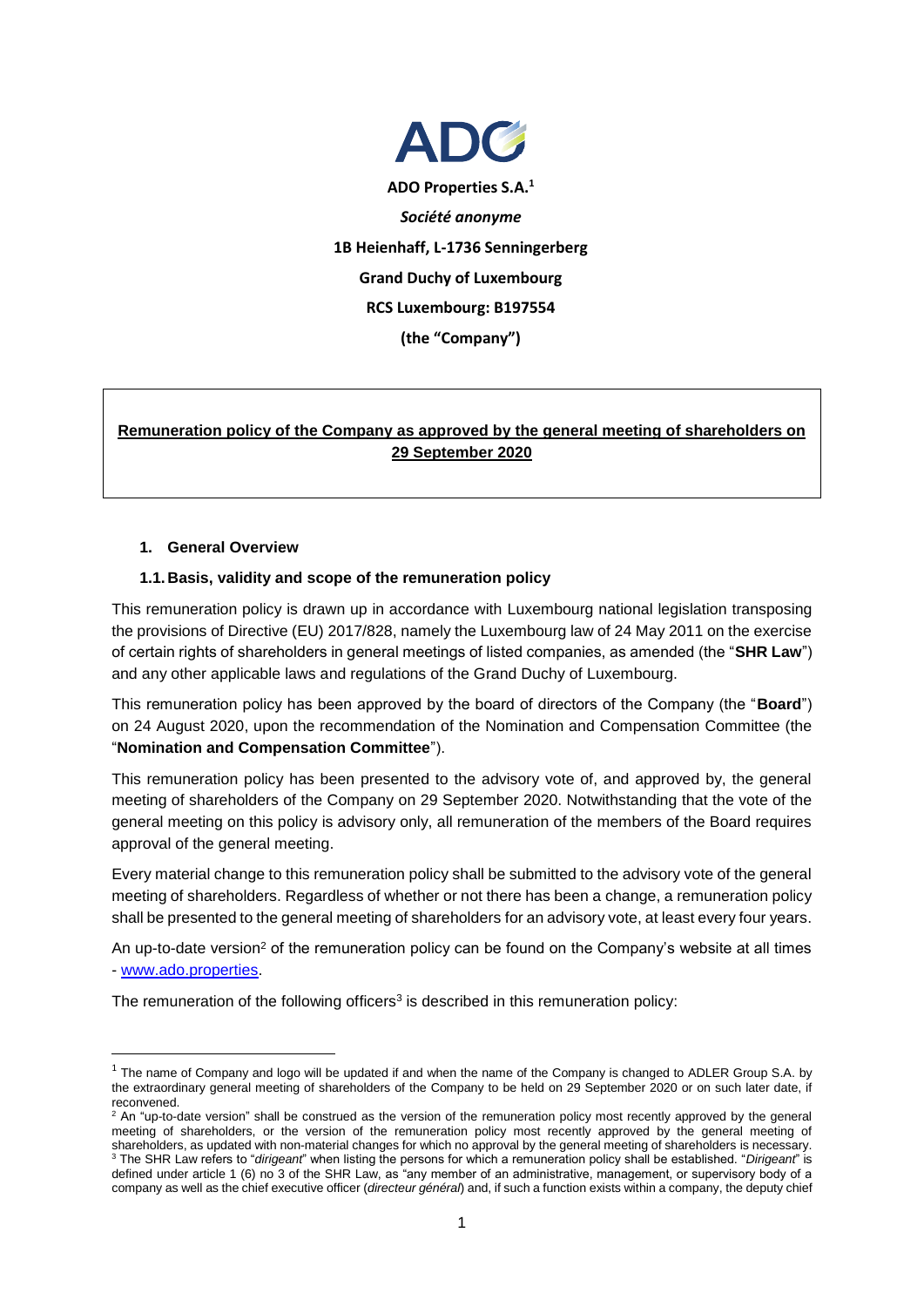

# **Remuneration policy of the Company as approved by the general meeting of shareholders on 29 September 2020**

#### **1. General Overview**

**.** 

#### **1.1.Basis, validity and scope of the remuneration policy**

This remuneration policy is drawn up in accordance with Luxembourg national legislation transposing the provisions of Directive (EU) 2017/828, namely the Luxembourg law of 24 May 2011 on the exercise of certain rights of shareholders in general meetings of listed companies, as amended (the "**SHR Law**") and any other applicable laws and regulations of the Grand Duchy of Luxembourg.

This remuneration policy has been approved by the board of directors of the Company (the "**Board**") on 24 August 2020, upon the recommendation of the Nomination and Compensation Committee (the "**Nomination and Compensation Committee**").

This remuneration policy has been presented to the advisory vote of, and approved by, the general meeting of shareholders of the Company on 29 September 2020. Notwithstanding that the vote of the general meeting on this policy is advisory only, all remuneration of the members of the Board requires approval of the general meeting.

Every material change to this remuneration policy shall be submitted to the advisory vote of the general meeting of shareholders. Regardless of whether or not there has been a change, a remuneration policy shall be presented to the general meeting of shareholders for an advisory vote, at least every four years.

An up-to-date version<sup>2</sup> of the remuneration policy can be found on the Company's website at all times - [www.ado.properties.](https://www.ado.properties/websites/ado/English/1000/ado-_-investor-relations.html)

The remuneration of the following officers<sup>3</sup> is described in this remuneration policy:

 $1$  The name of Company and logo will be updated if and when the name of the Company is changed to ADLER Group S.A. by the extraordinary general meeting of shareholders of the Company to be held on 29 September 2020 or on such later date, if reconvened.

 $2$  An "up-to-date version" shall be construed as the version of the remuneration policy most recently approved by the general meeting of shareholders, or the version of the remuneration policy most recently approved by the general meeting of shareholders, as updated with non-material changes for which no approval by the general meeting of shareholders is necessary. <sup>3</sup> The SHR Law refers to "*dirigeant*" when listing the persons for which a remuneration policy shall be established. "*Dirigeant*" is defined under article 1 (6) no 3 of the SHR Law, as "any member of an administrative, management, or supervisory body of a company as well as the chief executive officer (*directeur général*) and, if such a function exists within a company, the deputy chief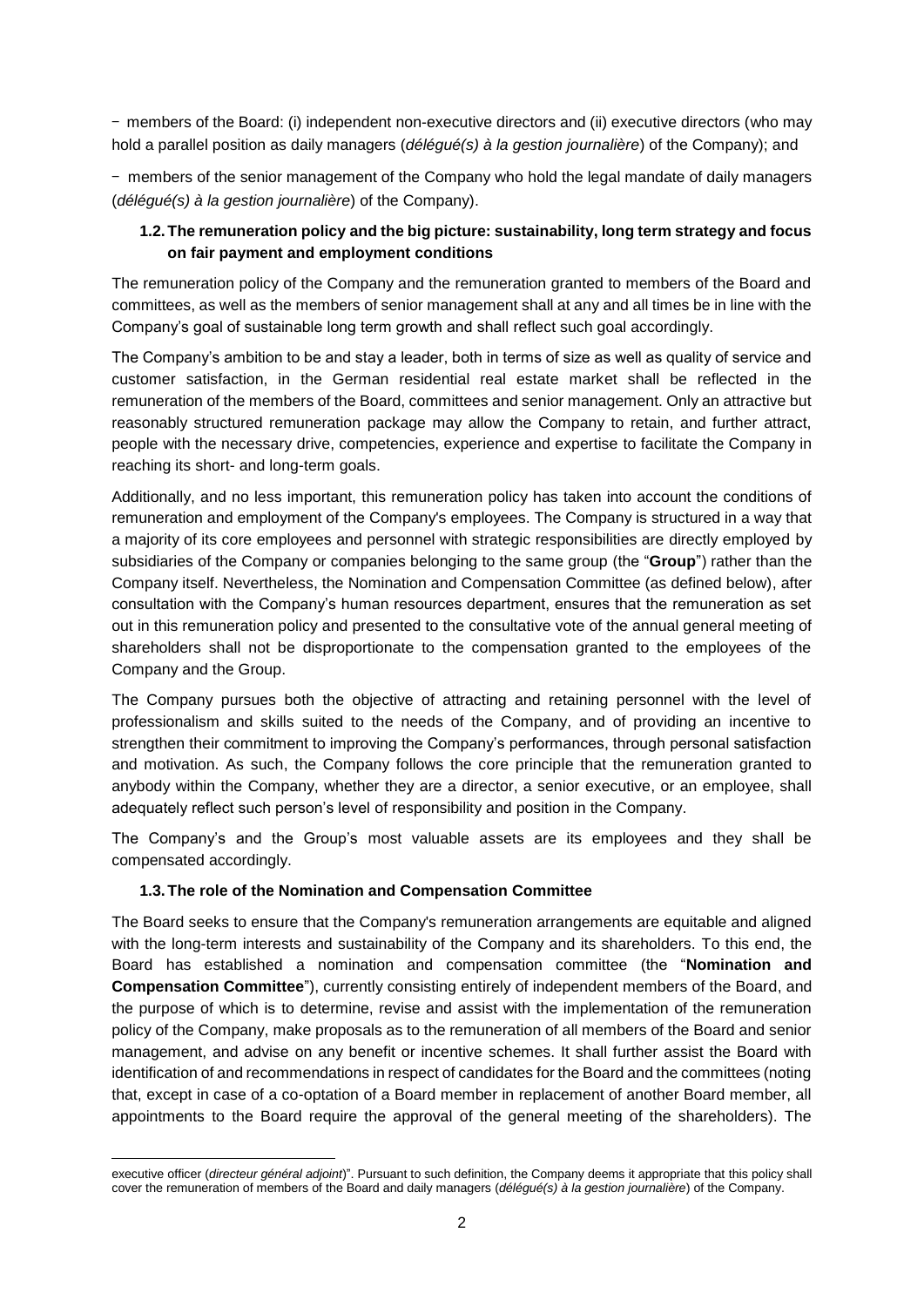- members of the Board: (i) independent non-executive directors and (ii) executive directors (who may hold a parallel position as daily managers (*délégué(s) à la gestion journalière*) of the Company); and

- members of the senior management of the Company who hold the legal mandate of daily managers (*délégué(s) à la gestion journalière*) of the Company).

# **1.2.The remuneration policy and the big picture: sustainability, long term strategy and focus on fair payment and employment conditions**

The remuneration policy of the Company and the remuneration granted to members of the Board and committees, as well as the members of senior management shall at any and all times be in line with the Company's goal of sustainable long term growth and shall reflect such goal accordingly.

The Company's ambition to be and stay a leader, both in terms of size as well as quality of service and customer satisfaction, in the German residential real estate market shall be reflected in the remuneration of the members of the Board, committees and senior management. Only an attractive but reasonably structured remuneration package may allow the Company to retain, and further attract, people with the necessary drive, competencies, experience and expertise to facilitate the Company in reaching its short- and long-term goals.

Additionally, and no less important, this remuneration policy has taken into account the conditions of remuneration and employment of the Company's employees. The Company is structured in a way that a majority of its core employees and personnel with strategic responsibilities are directly employed by subsidiaries of the Company or companies belonging to the same group (the "**Group**") rather than the Company itself. Nevertheless, the Nomination and Compensation Committee (as defined below), after consultation with the Company's human resources department, ensures that the remuneration as set out in this remuneration policy and presented to the consultative vote of the annual general meeting of shareholders shall not be disproportionate to the compensation granted to the employees of the Company and the Group.

The Company pursues both the objective of attracting and retaining personnel with the level of professionalism and skills suited to the needs of the Company, and of providing an incentive to strengthen their commitment to improving the Company's performances, through personal satisfaction and motivation. As such, the Company follows the core principle that the remuneration granted to anybody within the Company, whether they are a director, a senior executive, or an employee, shall adequately reflect such person's level of responsibility and position in the Company.

The Company's and the Group's most valuable assets are its employees and they shall be compensated accordingly.

### **1.3.The role of the Nomination and Compensation Committee**

The Board seeks to ensure that the Company's remuneration arrangements are equitable and aligned with the long-term interests and sustainability of the Company and its shareholders. To this end, the Board has established a nomination and compensation committee (the "**Nomination and Compensation Committee**"), currently consisting entirely of independent members of the Board, and the purpose of which is to determine, revise and assist with the implementation of the remuneration policy of the Company, make proposals as to the remuneration of all members of the Board and senior management, and advise on any benefit or incentive schemes. It shall further assist the Board with identification of and recommendations in respect of candidates for the Board and the committees (noting that, except in case of a co-optation of a Board member in replacement of another Board member, all appointments to the Board require the approval of the general meeting of the shareholders). The

**<sup>.</sup>** executive officer (*directeur général adjoint*)". Pursuant to such definition, the Company deems it appropriate that this policy shall cover the remuneration of members of the Board and daily managers (*délégué(s) à la gestion journalière*) of the Company.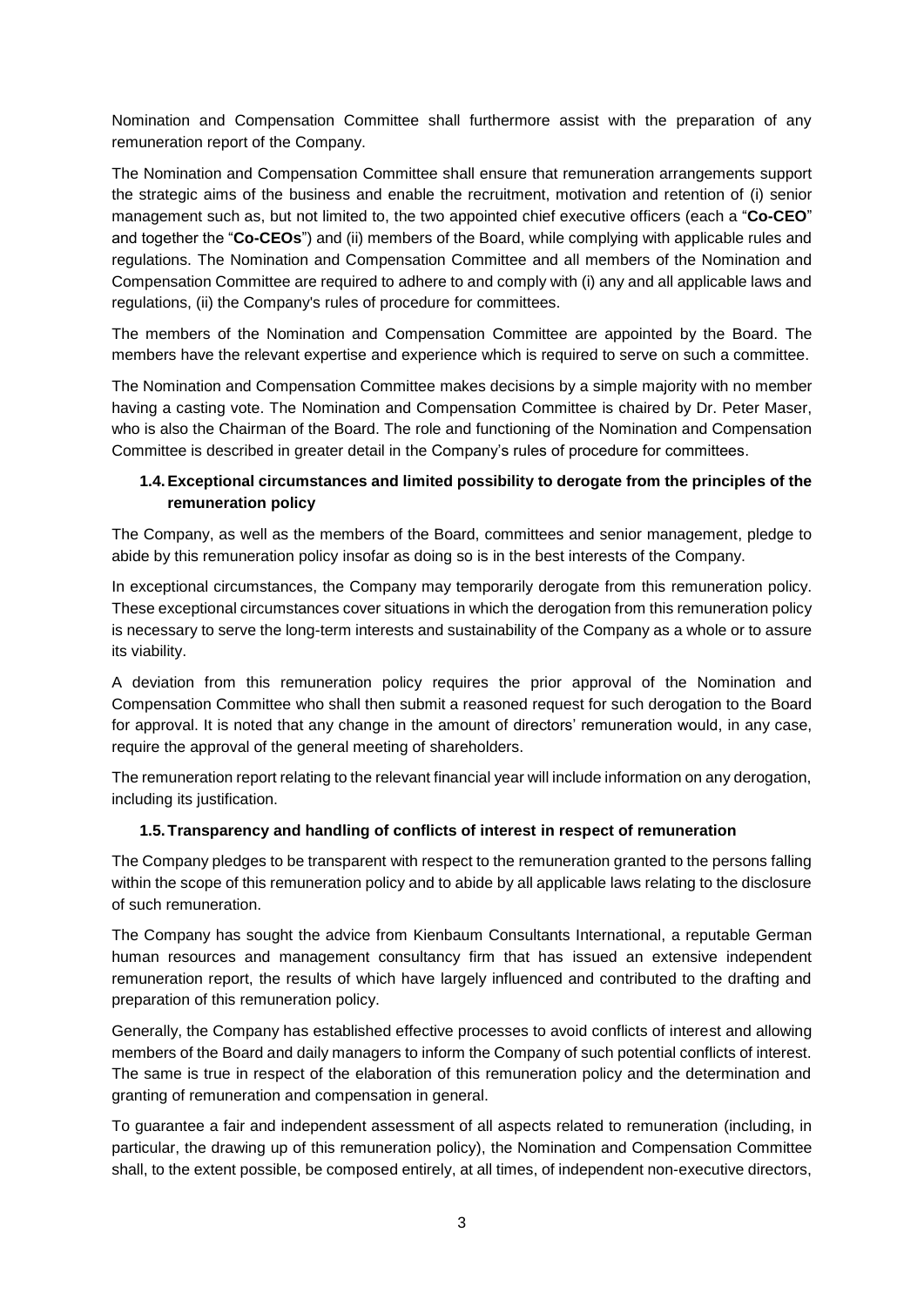Nomination and Compensation Committee shall furthermore assist with the preparation of any remuneration report of the Company.

The Nomination and Compensation Committee shall ensure that remuneration arrangements support the strategic aims of the business and enable the recruitment, motivation and retention of (i) senior management such as, but not limited to, the two appointed chief executive officers (each a "**Co-CEO**" and together the "**Co-CEOs**") and (ii) members of the Board, while complying with applicable rules and regulations. The Nomination and Compensation Committee and all members of the Nomination and Compensation Committee are required to adhere to and comply with (i) any and all applicable laws and regulations, (ii) the Company's rules of procedure for committees.

The members of the Nomination and Compensation Committee are appointed by the Board. The members have the relevant expertise and experience which is required to serve on such a committee.

The Nomination and Compensation Committee makes decisions by a simple majority with no member having a casting vote. The Nomination and Compensation Committee is chaired by Dr. Peter Maser, who is also the Chairman of the Board. The role and functioning of the Nomination and Compensation Committee is described in greater detail in the Company's rules of procedure for committees.

# **1.4.Exceptional circumstances and limited possibility to derogate from the principles of the remuneration policy**

The Company, as well as the members of the Board, committees and senior management, pledge to abide by this remuneration policy insofar as doing so is in the best interests of the Company.

In exceptional circumstances, the Company may temporarily derogate from this remuneration policy. These exceptional circumstances cover situations in which the derogation from this remuneration policy is necessary to serve the long-term interests and sustainability of the Company as a whole or to assure its viability.

A deviation from this remuneration policy requires the prior approval of the Nomination and Compensation Committee who shall then submit a reasoned request for such derogation to the Board for approval. It is noted that any change in the amount of directors' remuneration would, in any case, require the approval of the general meeting of shareholders.

The remuneration report relating to the relevant financial year will include information on any derogation, including its justification.

### **1.5.Transparency and handling of conflicts of interest in respect of remuneration**

The Company pledges to be transparent with respect to the remuneration granted to the persons falling within the scope of this remuneration policy and to abide by all applicable laws relating to the disclosure of such remuneration.

The Company has sought the advice from Kienbaum Consultants International, a reputable German human resources and management consultancy firm that has issued an extensive independent remuneration report, the results of which have largely influenced and contributed to the drafting and preparation of this remuneration policy.

Generally, the Company has established effective processes to avoid conflicts of interest and allowing members of the Board and daily managers to inform the Company of such potential conflicts of interest. The same is true in respect of the elaboration of this remuneration policy and the determination and granting of remuneration and compensation in general.

To guarantee a fair and independent assessment of all aspects related to remuneration (including, in particular, the drawing up of this remuneration policy), the Nomination and Compensation Committee shall, to the extent possible, be composed entirely, at all times, of independent non-executive directors,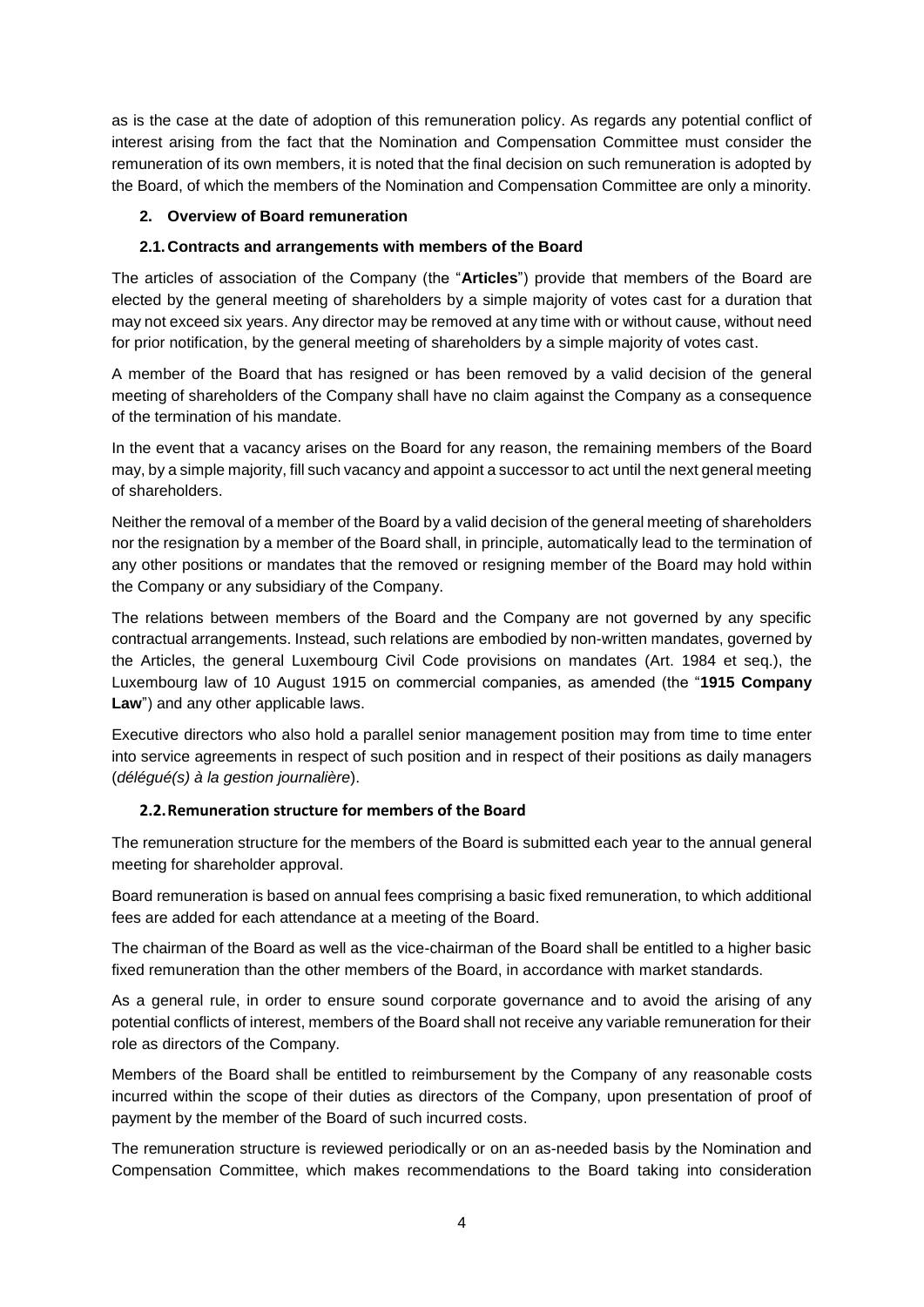as is the case at the date of adoption of this remuneration policy. As regards any potential conflict of interest arising from the fact that the Nomination and Compensation Committee must consider the remuneration of its own members, it is noted that the final decision on such remuneration is adopted by the Board, of which the members of the Nomination and Compensation Committee are only a minority.

## **2. Overview of Board remuneration**

## **2.1.Contracts and arrangements with members of the Board**

The articles of association of the Company (the "**Articles**") provide that members of the Board are elected by the general meeting of shareholders by a simple majority of votes cast for a duration that may not exceed six years. Any director may be removed at any time with or without cause, without need for prior notification, by the general meeting of shareholders by a simple majority of votes cast.

A member of the Board that has resigned or has been removed by a valid decision of the general meeting of shareholders of the Company shall have no claim against the Company as a consequence of the termination of his mandate.

In the event that a vacancy arises on the Board for any reason, the remaining members of the Board may, by a simple majority, fill such vacancy and appoint a successor to act until the next general meeting of shareholders.

Neither the removal of a member of the Board by a valid decision of the general meeting of shareholders nor the resignation by a member of the Board shall, in principle, automatically lead to the termination of any other positions or mandates that the removed or resigning member of the Board may hold within the Company or any subsidiary of the Company.

The relations between members of the Board and the Company are not governed by any specific contractual arrangements. Instead, such relations are embodied by non-written mandates, governed by the Articles, the general Luxembourg Civil Code provisions on mandates (Art. 1984 et seq.), the Luxembourg law of 10 August 1915 on commercial companies, as amended (the "**1915 Company Law**") and any other applicable laws.

Executive directors who also hold a parallel senior management position may from time to time enter into service agreements in respect of such position and in respect of their positions as daily managers (*délégué(s) à la gestion journalière*).

## **2.2.Remuneration structure for members of the Board**

The remuneration structure for the members of the Board is submitted each year to the annual general meeting for shareholder approval.

Board remuneration is based on annual fees comprising a basic fixed remuneration, to which additional fees are added for each attendance at a meeting of the Board.

The chairman of the Board as well as the vice-chairman of the Board shall be entitled to a higher basic fixed remuneration than the other members of the Board, in accordance with market standards.

As a general rule, in order to ensure sound corporate governance and to avoid the arising of any potential conflicts of interest, members of the Board shall not receive any variable remuneration for their role as directors of the Company.

Members of the Board shall be entitled to reimbursement by the Company of any reasonable costs incurred within the scope of their duties as directors of the Company, upon presentation of proof of payment by the member of the Board of such incurred costs.

The remuneration structure is reviewed periodically or on an as-needed basis by the Nomination and Compensation Committee, which makes recommendations to the Board taking into consideration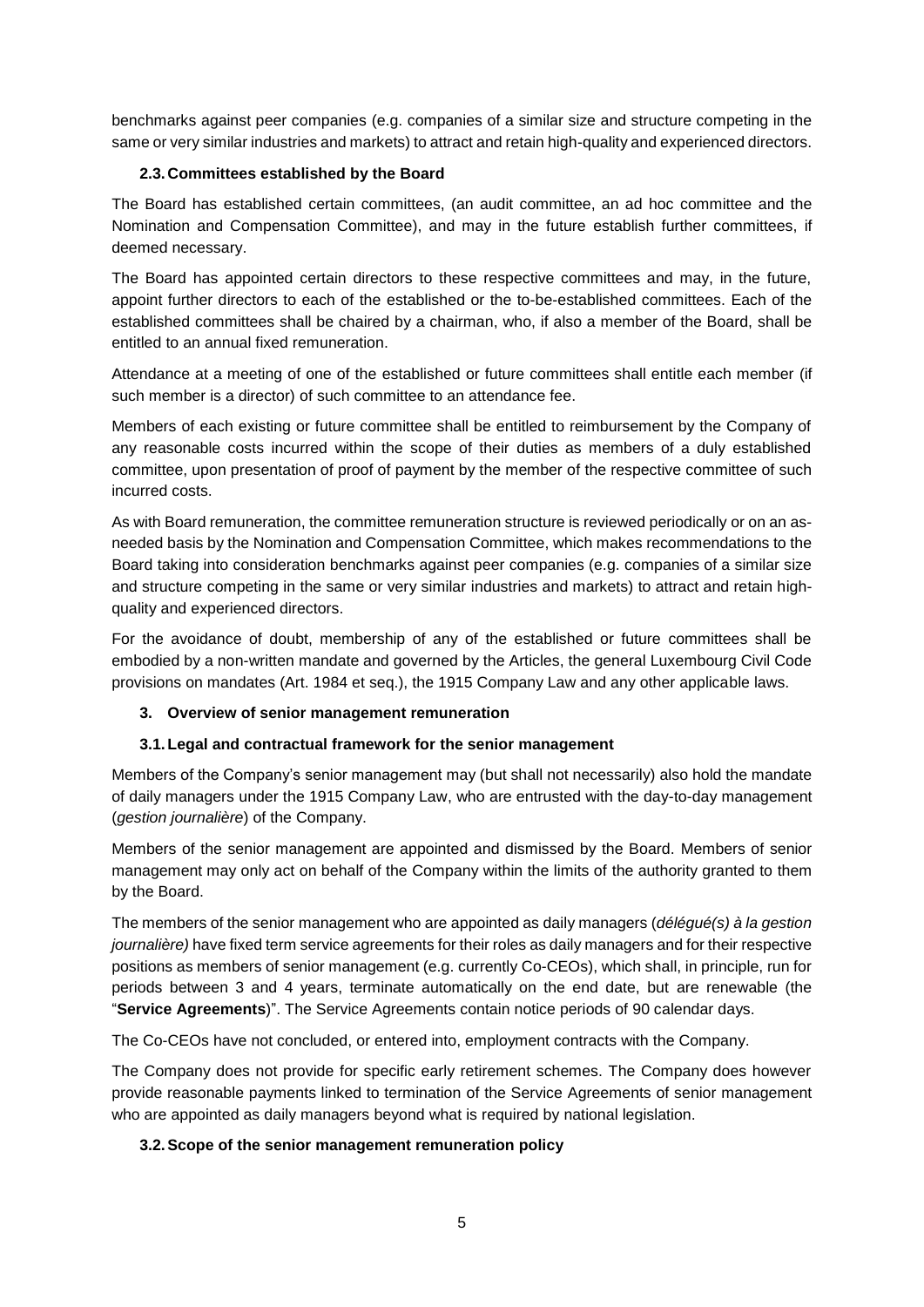benchmarks against peer companies (e.g. companies of a similar size and structure competing in the same or very similar industries and markets) to attract and retain high-quality and experienced directors.

### **2.3.Committees established by the Board**

The Board has established certain committees, (an audit committee, an ad hoc committee and the Nomination and Compensation Committee), and may in the future establish further committees, if deemed necessary.

The Board has appointed certain directors to these respective committees and may, in the future, appoint further directors to each of the established or the to-be-established committees. Each of the established committees shall be chaired by a chairman, who, if also a member of the Board, shall be entitled to an annual fixed remuneration.

Attendance at a meeting of one of the established or future committees shall entitle each member (if such member is a director) of such committee to an attendance fee.

Members of each existing or future committee shall be entitled to reimbursement by the Company of any reasonable costs incurred within the scope of their duties as members of a duly established committee, upon presentation of proof of payment by the member of the respective committee of such incurred costs.

As with Board remuneration, the committee remuneration structure is reviewed periodically or on an asneeded basis by the Nomination and Compensation Committee, which makes recommendations to the Board taking into consideration benchmarks against peer companies (e.g. companies of a similar size and structure competing in the same or very similar industries and markets) to attract and retain highquality and experienced directors.

For the avoidance of doubt, membership of any of the established or future committees shall be embodied by a non-written mandate and governed by the Articles, the general Luxembourg Civil Code provisions on mandates (Art. 1984 et seq.), the 1915 Company Law and any other applicable laws.

### **3. Overview of senior management remuneration**

### **3.1.Legal and contractual framework for the senior management**

Members of the Company's senior management may (but shall not necessarily) also hold the mandate of daily managers under the 1915 Company Law, who are entrusted with the day-to-day management (*gestion journalière*) of the Company.

Members of the senior management are appointed and dismissed by the Board. Members of senior management may only act on behalf of the Company within the limits of the authority granted to them by the Board.

The members of the senior management who are appointed as daily managers (*délégué(s) à la gestion journalière)* have fixed term service agreements for their roles as daily managers and for their respective positions as members of senior management (e.g. currently Co-CEOs), which shall, in principle, run for periods between 3 and 4 years, terminate automatically on the end date, but are renewable (the "**Service Agreements**)". The Service Agreements contain notice periods of 90 calendar days.

The Co-CEOs have not concluded, or entered into, employment contracts with the Company.

The Company does not provide for specific early retirement schemes. The Company does however provide reasonable payments linked to termination of the Service Agreements of senior management who are appointed as daily managers beyond what is required by national legislation.

### **3.2.Scope of the senior management remuneration policy**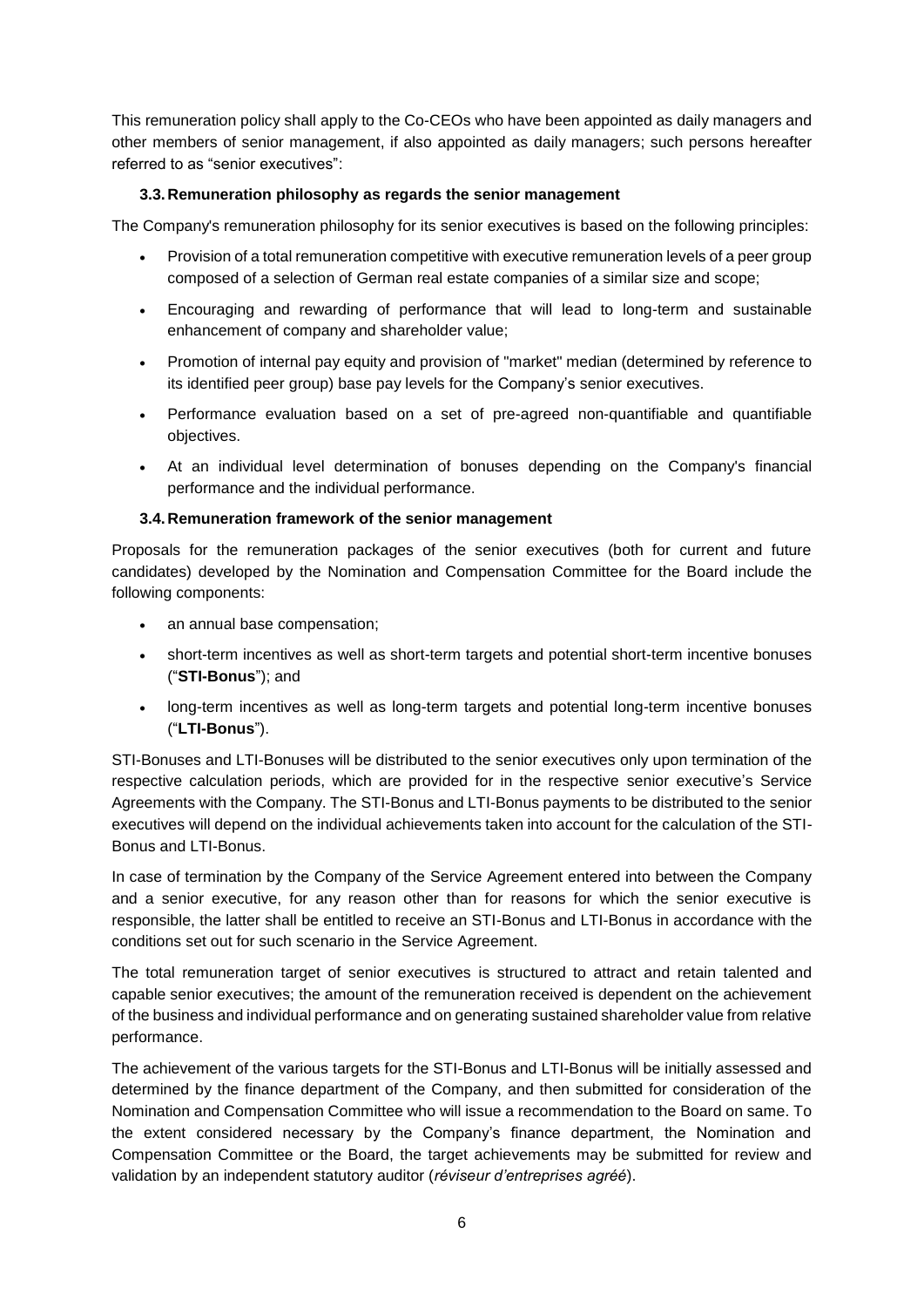This remuneration policy shall apply to the Co-CEOs who have been appointed as daily managers and other members of senior management, if also appointed as daily managers; such persons hereafter referred to as "senior executives":

## **3.3.Remuneration philosophy as regards the senior management**

The Company's remuneration philosophy for its senior executives is based on the following principles:

- Provision of a total remuneration competitive with executive remuneration levels of a peer group composed of a selection of German real estate companies of a similar size and scope;
- Encouraging and rewarding of performance that will lead to long-term and sustainable enhancement of company and shareholder value;
- Promotion of internal pay equity and provision of "market" median (determined by reference to its identified peer group) base pay levels for the Company's senior executives.
- Performance evaluation based on a set of pre-agreed non-quantifiable and quantifiable objectives.
- At an individual level determination of bonuses depending on the Company's financial performance and the individual performance.

## **3.4.Remuneration framework of the senior management**

Proposals for the remuneration packages of the senior executives (both for current and future candidates) developed by the Nomination and Compensation Committee for the Board include the following components:

- an annual base compensation;
- short-term incentives as well as short-term targets and potential short-term incentive bonuses ("**STI-Bonus**"); and
- long-term incentives as well as long-term targets and potential long-term incentive bonuses ("**LTI-Bonus**").

STI-Bonuses and LTI-Bonuses will be distributed to the senior executives only upon termination of the respective calculation periods, which are provided for in the respective senior executive's Service Agreements with the Company. The STI-Bonus and LTI-Bonus payments to be distributed to the senior executives will depend on the individual achievements taken into account for the calculation of the STI-Bonus and LTI-Bonus.

In case of termination by the Company of the Service Agreement entered into between the Company and a senior executive, for any reason other than for reasons for which the senior executive is responsible, the latter shall be entitled to receive an STI-Bonus and LTI-Bonus in accordance with the conditions set out for such scenario in the Service Agreement.

The total remuneration target of senior executives is structured to attract and retain talented and capable senior executives; the amount of the remuneration received is dependent on the achievement of the business and individual performance and on generating sustained shareholder value from relative performance.

The achievement of the various targets for the STI-Bonus and LTI-Bonus will be initially assessed and determined by the finance department of the Company, and then submitted for consideration of the Nomination and Compensation Committee who will issue a recommendation to the Board on same. To the extent considered necessary by the Company's finance department, the Nomination and Compensation Committee or the Board, the target achievements may be submitted for review and validation by an independent statutory auditor (*réviseur d'entreprises agréé*).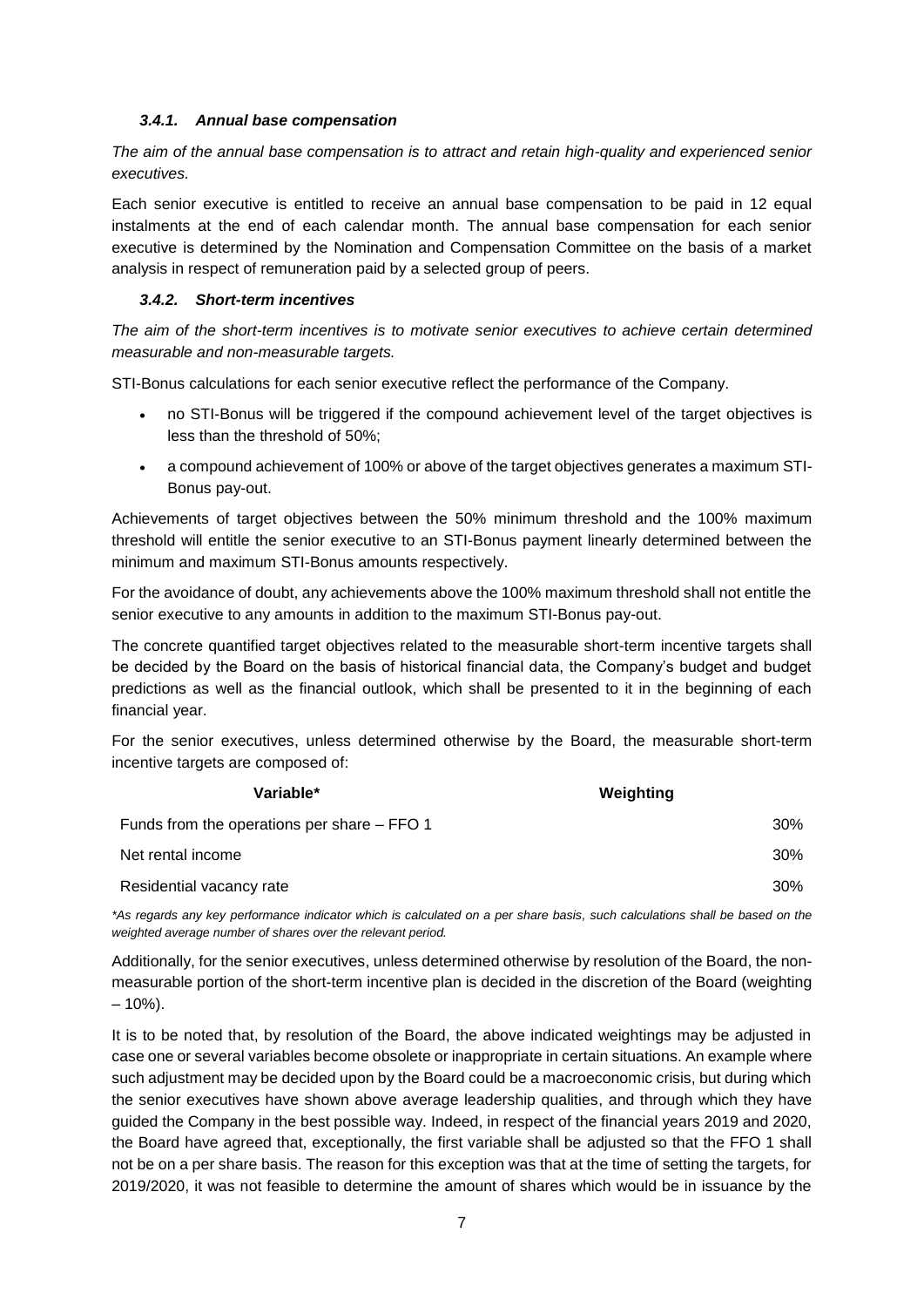### *3.4.1. Annual base compensation*

*The aim of the annual base compensation is to attract and retain high-quality and experienced senior executives.*

Each senior executive is entitled to receive an annual base compensation to be paid in 12 equal instalments at the end of each calendar month. The annual base compensation for each senior executive is determined by the Nomination and Compensation Committee on the basis of a market analysis in respect of remuneration paid by a selected group of peers.

#### *3.4.2. Short-term incentives*

*The aim of the short-term incentives is to motivate senior executives to achieve certain determined measurable and non-measurable targets.*

STI-Bonus calculations for each senior executive reflect the performance of the Company.

- no STI-Bonus will be triggered if the compound achievement level of the target objectives is less than the threshold of 50%;
- a compound achievement of 100% or above of the target objectives generates a maximum STI-Bonus pay-out.

Achievements of target objectives between the 50% minimum threshold and the 100% maximum threshold will entitle the senior executive to an STI-Bonus payment linearly determined between the minimum and maximum STI-Bonus amounts respectively.

For the avoidance of doubt, any achievements above the 100% maximum threshold shall not entitle the senior executive to any amounts in addition to the maximum STI-Bonus pay-out.

The concrete quantified target objectives related to the measurable short-term incentive targets shall be decided by the Board on the basis of historical financial data, the Company's budget and budget predictions as well as the financial outlook, which shall be presented to it in the beginning of each financial year.

For the senior executives, unless determined otherwise by the Board, the measurable short-term incentive targets are composed of:

| Variable*                                   | Weighting |
|---------------------------------------------|-----------|
| Funds from the operations per share – FFO 1 | 30%       |
| Net rental income                           | 30%       |
| Residential vacancy rate                    | 30%       |

*\*As regards any key performance indicator which is calculated on a per share basis, such calculations shall be based on the weighted average number of shares over the relevant period.*

Additionally, for the senior executives, unless determined otherwise by resolution of the Board, the nonmeasurable portion of the short-term incentive plan is decided in the discretion of the Board (weighting  $-10%$ ).

It is to be noted that, by resolution of the Board, the above indicated weightings may be adjusted in case one or several variables become obsolete or inappropriate in certain situations. An example where such adjustment may be decided upon by the Board could be a macroeconomic crisis, but during which the senior executives have shown above average leadership qualities, and through which they have guided the Company in the best possible way. Indeed, in respect of the financial years 2019 and 2020, the Board have agreed that, exceptionally, the first variable shall be adjusted so that the FFO 1 shall not be on a per share basis. The reason for this exception was that at the time of setting the targets, for 2019/2020, it was not feasible to determine the amount of shares which would be in issuance by the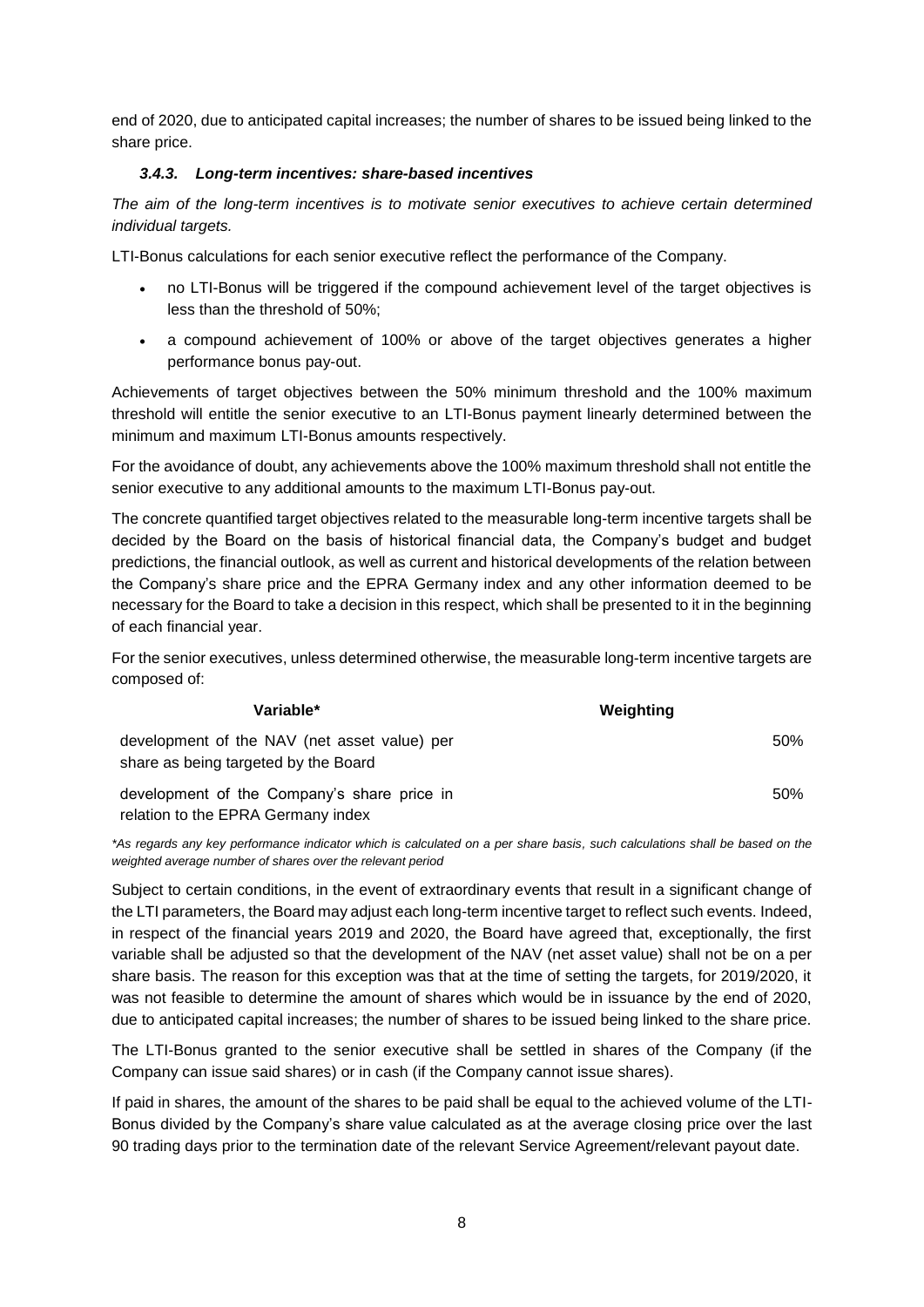end of 2020, due to anticipated capital increases; the number of shares to be issued being linked to the share price.

### *3.4.3. Long-term incentives: share-based incentives*

*The aim of the long-term incentives is to motivate senior executives to achieve certain determined individual targets.*

LTI-Bonus calculations for each senior executive reflect the performance of the Company.

- no LTI-Bonus will be triggered if the compound achievement level of the target objectives is less than the threshold of 50%;
- a compound achievement of 100% or above of the target objectives generates a higher performance bonus pay-out.

Achievements of target objectives between the 50% minimum threshold and the 100% maximum threshold will entitle the senior executive to an LTI-Bonus payment linearly determined between the minimum and maximum LTI-Bonus amounts respectively.

For the avoidance of doubt, any achievements above the 100% maximum threshold shall not entitle the senior executive to any additional amounts to the maximum LTI-Bonus pay-out.

The concrete quantified target objectives related to the measurable long-term incentive targets shall be decided by the Board on the basis of historical financial data, the Company's budget and budget predictions, the financial outlook, as well as current and historical developments of the relation between the Company's share price and the EPRA Germany index and any other information deemed to be necessary for the Board to take a decision in this respect, which shall be presented to it in the beginning of each financial year.

For the senior executives, unless determined otherwise, the measurable long-term incentive targets are composed of:

| Variable*                                                                            | Weighting |
|--------------------------------------------------------------------------------------|-----------|
| development of the NAV (net asset value) per<br>share as being targeted by the Board | 50%       |
| development of the Company's share price in<br>relation to the EPRA Germany index    | 50%       |

*\*As regards any key performance indicator which is calculated on a per share basis, such calculations shall be based on the weighted average number of shares over the relevant period*

Subject to certain conditions, in the event of extraordinary events that result in a significant change of the LTI parameters, the Board may adjust each long-term incentive target to reflect such events. Indeed, in respect of the financial years 2019 and 2020, the Board have agreed that, exceptionally, the first variable shall be adjusted so that the development of the NAV (net asset value) shall not be on a per share basis. The reason for this exception was that at the time of setting the targets, for 2019/2020, it was not feasible to determine the amount of shares which would be in issuance by the end of 2020, due to anticipated capital increases; the number of shares to be issued being linked to the share price.

The LTI-Bonus granted to the senior executive shall be settled in shares of the Company (if the Company can issue said shares) or in cash (if the Company cannot issue shares).

If paid in shares, the amount of the shares to be paid shall be equal to the achieved volume of the LTI-Bonus divided by the Company's share value calculated as at the average closing price over the last 90 trading days prior to the termination date of the relevant Service Agreement/relevant payout date.